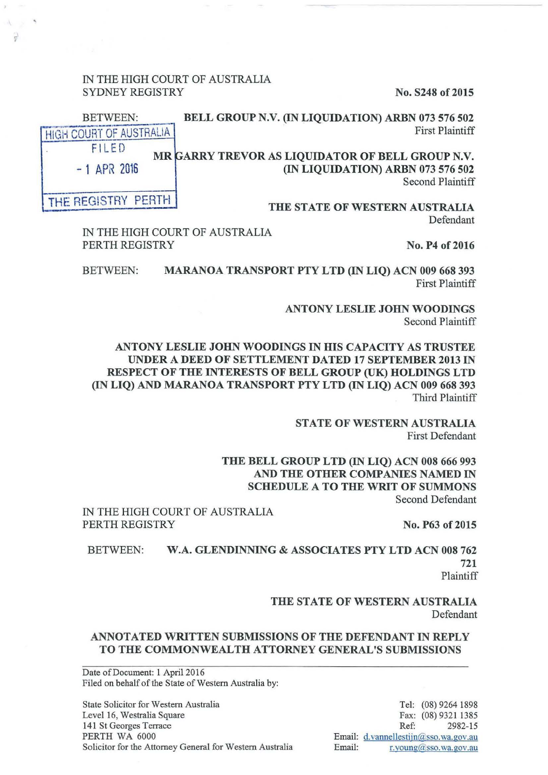IN THE HIGH COURT OF AUSTRALIA SYDNEY REGISTRY No. S248 of 2015

싌

| BELL GROUP N.V. (IN LIQUIDATION) ARBN 073 576 502                                                         | <b>BETWEEN:</b>              |  |
|-----------------------------------------------------------------------------------------------------------|------------------------------|--|
| <b>First Plaintiff</b>                                                                                    | HIGH COURT OF AUSTRALIA      |  |
| MR GARRY TREVOR AS LIQUIDATOR OF BELL GROUP N.V.<br>(IN LIQUIDATION) ARBN 073 576 502<br>Second Plaintiff | FILED<br>$-1$ APR 2016       |  |
| <b>THE STATE OF WESTERN AIISTRALIA</b>                                                                    | <b>I THE REGISTRY PERTH.</b> |  |

THE STATE OF WESTERN AU Defendant

IN THE HIGH COURT OF AUSTRALIA PERTH REGISTRY No. P4 of 2016

BETWEEN: MARANOA TRANSPORT PTY LTD (IN LIQ) ACN 009 668 393 First Plaintiff

> ANTONY LESLIE JOHN WOODINGS Second Plaintiff

ANTONY LESLIE JOHN WOODINGS IN HIS CAPACITY AS TRUSTEE UNDER A DEED OF SETTLEMENT DATED 17 SEPTEMBER 2013 IN RESPECT OF THE INTERESTS OF BELL GROUP (UK) HOLDINGS LTD (IN LIQ) AND MARANOA TRANSPORT PTY LTD (IN LIQ) ACN 009 668 393 Third Plaintiff

> STATE OF WESTERN AUSTRALIA First Defendant

THE BELL GROUP LTD (IN LIQ) ACN 008 666 993 AND THE OTHER COMPANIES NAMED IN SCHEDULE A TO THE WRIT OF SUMMONS Second Defendant

IN THE HIGH COURT OF AUSTRALIA PERTH REGISTRY No. P63 of 2015

BETWEEN: W.A. GLENDINNING & ASSOCIATES PTY LTD ACN 008 762 721

Plaintiff

THE STATE OF WESTERN AUSTRALIA Defendant

# ANNOTATED WRITTEN SUBMISSIONS OF THE DEFENDANT IN REPLY TO THE COMMONWEALTH ATTORNEY GENERAL'S SUBMISSIONS

Date of Document: 1 April 2016 Filed on behalf of the State of Western Australia by:

State Solicitor for Western Australia Level 16, Westralia Square 141 St Georges Terrace PERTH WA 6000 Solicitor for the Attorney General for Western Australia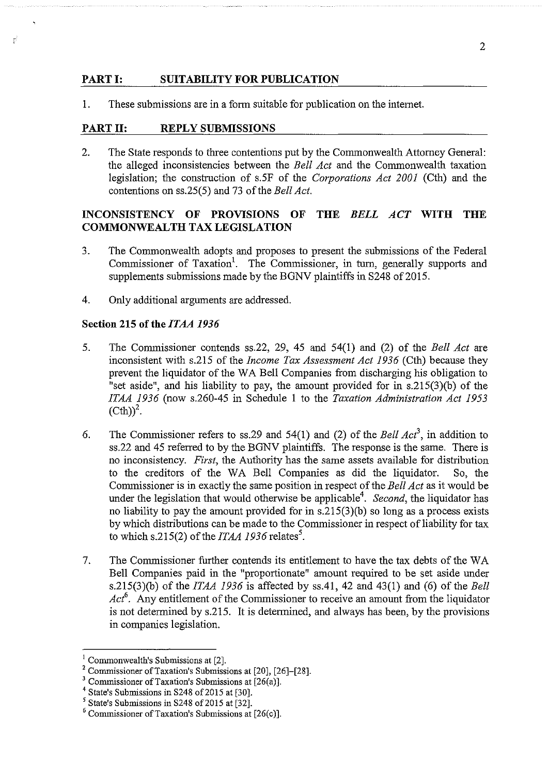#### **PART I: SUITABILITY FOR PUBLICATION**

1. These submissions are in a form suitable for publication on the intemet.

#### **PART II: REPLY SUBMISSIONS**

.

2. The State responds to three contentions put by the Commonwealth Attorney General: the alleged inconsistencies between the *Bell Act* and the Commonwealth taxation legislation; the construction of s.5F of the *Corporations Act 2001* (Cth) and the contentions on ss.25(5) and 73 of the *Bell Act.* 

## **INCONSISTENCY OF PROVISIONS OF THE** *BELL ACT* **WITH THE COMMONWEALTH TAX LEGISLATION**

- 3. The Commonwealth adopts and proposes to present the submissions of the Federal Commissioner of Taxation<sup>1</sup>. The Commissioner, in turn, generally supports and supplements submissions made by the BGNV plaintiffs in S248 of 2015.
- 4. Only additional arguments are addressed.

### **Section 215 of the** *ITAA 1936*

- 5. The Commissioner contends ss.22, 29, 45 and 54(1) and (2) of the *Bell Act* are inconsistent with s.215 of the *Income Tax Assessment Act 1936* (Cth) because they prevent the liquidator of the WA Bell Companies from discharging his obligation to "set aside", and his liability to pay, the amount provided for in s.215(3)(b) of the *ITAA 1936* (now s.260-45 in Schedule **1** to the *Taxation Administration Act 1953*   $(Cth))^2$ .
- 6. The Commissioner refers to ss.29 and 54(1) and (2) of the *Bell Act*<sup>3</sup>, in addition to ss.22 and 45 referred to by the BGNV plaintiffs. The response is the same. There is no inconsistency. *First,* the Authority has the same assets available for distribution to the creditors of the WA Bell Companies as did the liquidator. So, the Commissioner is in exactly the same position in respect of the *Bell Act* as it would be under the legislation that would otherwise be applicable<sup>4</sup>. Second, the liquidator has no liability to pay the amount provided for in s.215(3)(b) so long as a process exists by which distributions can be made to the Commissioner in respect of liability for tax to which s.215(2) of the *ITAA 1936* relates<sup>5</sup>.
- 7. The Commissioner further contends its entitlement to have the tax debts of the W A Bell Companies paid in the "proportionate" amount required to be set aside under s.215(3)(b) of the *ITAA 1936* is affected by ss.41, 42 and 43(1) and (6) of the *Bell*  Act<sup>6</sup>. Any entitlement of the Commissioner to receive an amount from the liquidator is not determined by s.215. It is determined, and always has been, by the provisions in companies legislation.

<sup>&</sup>lt;sup>1</sup> Commonwealth's Submissions at [2].<br><sup>2</sup> Commissioner of Taxation's Submissions at [20], [26]–[28].

<sup>&</sup>lt;sup>3</sup> Commissioner of Taxation's Submissions at [26(a)].<br>
<sup>4</sup> State's Submissions in S248 of 2015 at [30].<br>
<sup>5</sup> State's Submissions in S248 of 2015 at [32].

 $<sup>6</sup>$  Commissioner of Taxation's Submissions at [26(c)].</sup>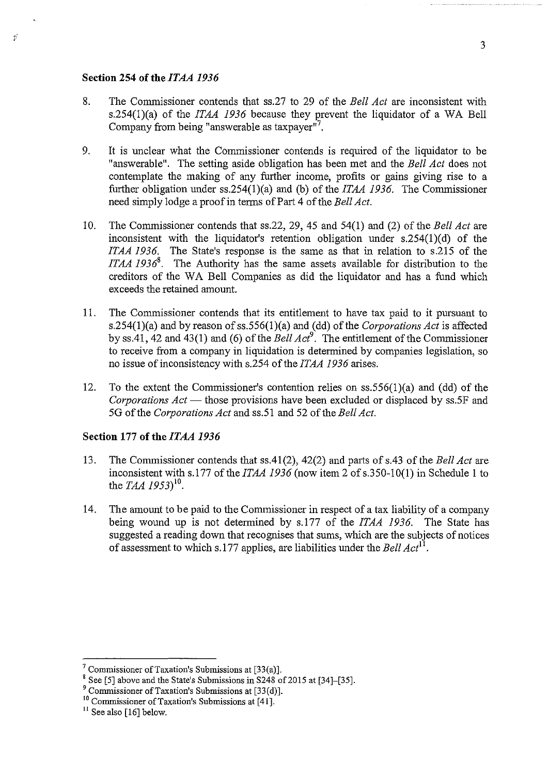#### Section 254 of the *ITAA 1936*

 $\overline{z}^2$ 

- 8. The Commissioner contends that ss.27 to 29 of the *Bell Act* are inconsistent with s.254(1)(a) of the *ITAA 1936* because they prevent the liquidator of a WA Bell Company from being "answerable as taxpayer"<sup>7</sup>.
- 9. It is unclear what the Commissioner contends is required of the liquidator to be "answerable". The setting aside obligation has been met and the *Bell Act* does not contemplate the making of any further income, profits or gains giving rise to a further obligation under ss.254(l)(a) and (b) of the *1TAA 1936.* The Commissioner need simply lodge a proof in terms of Part 4 of the *Bell Act.*
- 10. The Commissioner contends that ss.22, 29, 45 and 54(1) and (2) of the *Bell Act* are inconsistent with the liquidator's retention obligation under s.254(1 )(d) of the *ITAA 1936.* The State's response is the same as that in relation to s.215 of the *ITAA 1936*<sup>8</sup>. The Authority has the same assets available for distribution to the creditors of the WA Bell Companies as did the liquidator and has a fund which exceeds the retained amount.
- 11. The Commissioner contends that its entitlement to have tax paid to it pursuant to s.254(1)(a) and by reason of ss.556(1)(a) and (dd) of the *Corporations Act* is affected by ss.41, 42 and 43(1) and (6) of the *Bell Act*<sup>9</sup>. The entitlement of the Commissioner to receive from a company in liquidation is determined by companies legislation, so no issue of inconsistency with s.254 of the *ITAA 1936* arises.
- 12. To the extent the Commissioner's contention relies on  $ss.556(1)(a)$  and (dd) of the *Corporations Act* — those provisions have been excluded or displaced by ss.5F and SG of the *Corporations Act* and ss. 51 and 52 of the *Bell Act.*

## Section 177 of the *ITAA 1936*

- 13. The Commissioner contends that ss.41(2), 42(2) and parts of s.43 of the *Bell Act* are inconsistent with s.l77 of the *1TAA 1936* (now item 2 of s.350-10(1) in Schedule **1** to the *TAA* 1953)<sup>10</sup>.
- 14. The amount to be paid to the Commissioner in respect of a tax liability of a company being wound up is not determined by s.177 of the *1TAA 1936.* The State has suggested a reading down that recognises that sums, which are the subjects of notices of assessment to which s.177 applies, are liabilities under the *Bell*  $Act^{11}$ *.*

<sup>&</sup>lt;sup>7</sup> Commissioner of Taxation's Submissions at  $[33(a)]$ .

<sup>&</sup>lt;sup>8</sup> See [5] above and the State's Submissions in S248 of 2015 at [34]-[35].

<sup>9</sup> Commissioner of Taxation's Submissions at [33(d)].

<sup>&</sup>lt;sup>10</sup> Commissioner of Taxation's Submissions at [41].<br><sup>11</sup> See also [16] below.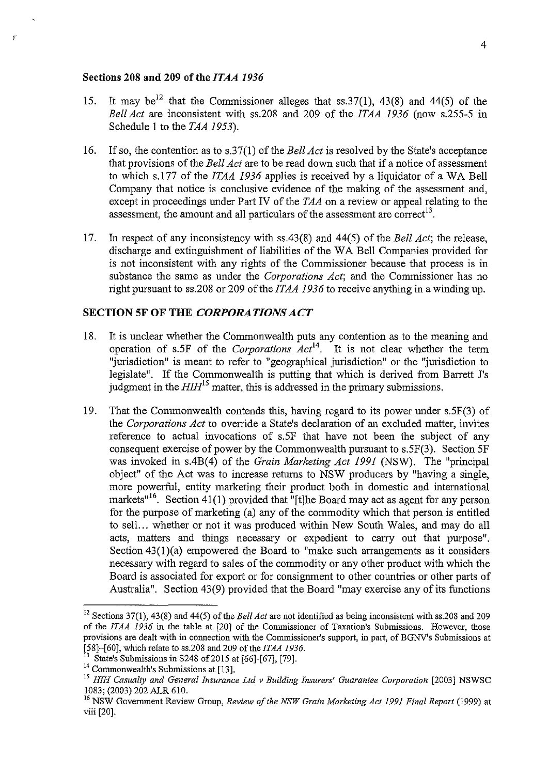### **Sections 208 and 209 ofthe/TAA** *1936*

 $\mathscr{D}$ 

- 15. It may be<sup>12</sup> that the Commissioner alleges that ss. 37(1), 43(8) and 44(5) of the *BellAct* are inconsistent with ss.208 and 209 of the *ITAA 1936* (now s.255-5 in Schedule 1 to the *TAA 1953).*
- 16. If so, the contention as to s.37(1) of the *Bell Act* is resolved by the State's acceptance that provisions of the *Bell Act* are to be read down such that if a notice of assessment to which s.l77 of the *ITAA 1936* applies is received by a liquidator of a WA Bell Company that notice is conclusive evidence of the making of the assessment and, except in proceedings under Part IV of the *TAA* on a review or appeal relating to the assessment, the amount and all particulars of the assessment are correct<sup>13</sup>.
- 17. In respect of any inconsistency with ss.43(8) and 44(5) of the *Bell Act;* the release, discharge and extinguishment of liabilities of the WA Bell Companies provided for is not inconsistent with any rights of the Commissioner because that process is in substance the same as under the *Corporations Act;* and the Commissioner has no right pursuant to ss.208 or 209 of the *ITAA 1936* to receive anything in a winding up.

## **SECTION SF OF THE** *CORPORATIONS ACT*

- 18. It is unclear whether the Commonwealth puts any contention as to the meaning and operation of s.5F of the *Corporations Act14.* It is not clear whether the term "jurisdiction" is meant to refer to "geographical jurisdiction" or the "jurisdiction to legislate". If the Commonwealth is putting that which is derived from Barrett J's judgment in the  $H I H^{15}$  matter, this is addressed in the primary submissions.
- 19. That the Commonwealth contends this, having regard to its power under s.5F(3) of the *Corporations Act* to ovemde a State's declaration of an excluded matter, invites reference to actual invocations of s.5F that have not been the subject of any consequent exercise of power by the Commonwealth pursuant to s.5F(3). Section SF was invoked in s.4B(4) of the *Grain Marketing Act 1991* (NSW). The "principal object" of the Act was to increase returns to NSW producers by "having a single, more powerful, entity marketing their product both in domestic and international markets"<sup>16</sup>. Section 41(1) provided that "[t]he Board may act as agent for any person for the purpose of marketing (a) any of the commodity which that person is entitled to sell... whether or not it was produced within New South Wales, and may do all acts, matters and things necessary or expedient to carry out that purpose". Section  $43(1)(a)$  empowered the Board to "make such arrangements as it considers necessary with regard to sales of the commodity or any other product with which the Board is associated for export or for consignment to other countries or other parts of Australia". Section 43(9) provided that the Board "may exercise any of its functions

<sup>12</sup> Sections 37(1), 43(8) and 44(5) of the *Bell Act* are not identified as being inconsistent with ss.208 and 209 of the *ITAA 1936* in the table at [20] of the Commissioner of Taxation's Submissions. However, those **provisions are dealt with in connection with the Commissioner's support, in part, of BGNV's Submissions at**  [58]-[60], which relate to ss.208 and 209 of the *ITAA 1936.* 

<sup>&</sup>lt;sup>13</sup> State's Submissions in S248 of 2015 at [66]-[67], [79].<br><sup>14</sup> Commonwealth's Submissions at [13].

<sup>&</sup>lt;sup>15</sup> HIH Casualty and General Insurance Ltd v Building Insurers' Guarantee Corporation [2003] NSWSC 1083; (2003) 202 ALR 610.<br><sup>16</sup> NSW Government Review Group, *Review of the NSW Grain Marketing Act 1991 Final Report* (1999) at

viii [20].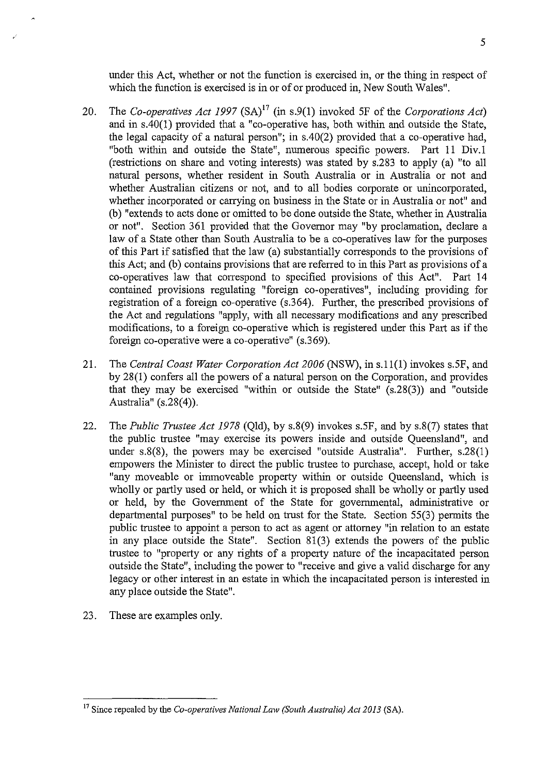under this Act, whether or not the function is exercised in, or the thing in respect of which the function is exercised is in or of or produced in, New South Wales".

- 20. The *Co-operatives Act 1997* (SA)<sup>17</sup> (in s.9(1) invoked 5F of the *Corporations Act*) and in s.40(1) provided that a "co-operative has, both within and outside the State, the legal capacity of a natural person"; in s.40(2) provided that a co-operative had, "both within and outside the State", numerous specific powers. Part 11 Div.1 (restrictions on share and voting interests) was stated by s.283 to apply (a) "to all natural persons, whether resident in South Australia or in Australia or not and whether Australian citizens or not, and to all bodies corporate or unincorporated, whether incorporated or carrying on business in the State or in Australia or not" and (b) "extends to acts done or omitted to be done outside the State, whether in Australia or not". Section 361 provided that the Governor may "by proclamation, declare a law of a State other than South Australia to be a co-operatives law for the purposes of this Part if satisfied that the law (a) substantially corresponds to the provisions of this Act; and (b) contains provisions that are referred to in this Part as provisions of a co-operatives law that correspond to specified provisions of this Act". Part 14 contained provisions regulating "foreign co-operatives", including providing for registration of a foreign co-operative (s.364). Further, the prescribed provisions of the Act and regulations "apply, with all necessary modifications and any prescribed modifications, to a foreign co-operative which is registered under this Part as if the foreign co-operative were a co-operative" (s.369).
- 21. The *Central Coast Water Corporation Act 2006* (NSW), in s.11(1) invokes s.5F, and by 28(1) confers all the powers of a natural person on the Corporation, and provides that they may be exercised "within or outside the State" (s.28(3)) and "outside Australia" (s.28(4)).
- 22. The *Public Trustee Act 1978* (Qld), by s.8(9) invokes s.5F, and by s.8(7) states that the public trustee "may exercise its powers inside and outside Queensland", and under s.8(8), the powers may be exercised "outside Australia". Further, s.28(1) empowers the Minister to direct the public trustee to purchase, accept, hold or take "any moveable or immoveable property within or outside Queensland, which is wholly or partly used or held, or which it is proposed shall be wholly or partly used or held, by the Government of the State for governmental, administrative or departmental purposes" to be held on tmst for the State. Section 55(3) permits the public trustee to appoint a person to act as agent or attorney "in relation to an estate in any place outside the State". Section 81(3) extends the powers of the public trustee to "property or any rights of a property nature of the incapacitated person outside the State", including the power to "receive and give a valid discharge for any legacy or other interest in an estate in which the incapacitated person is interested in any place outside the State".
- 23. These are examples only.

<sup>5</sup> 

<sup>17</sup> Since repealed by the *Co-operatives National Law (South Australia) Act 2013* (SA).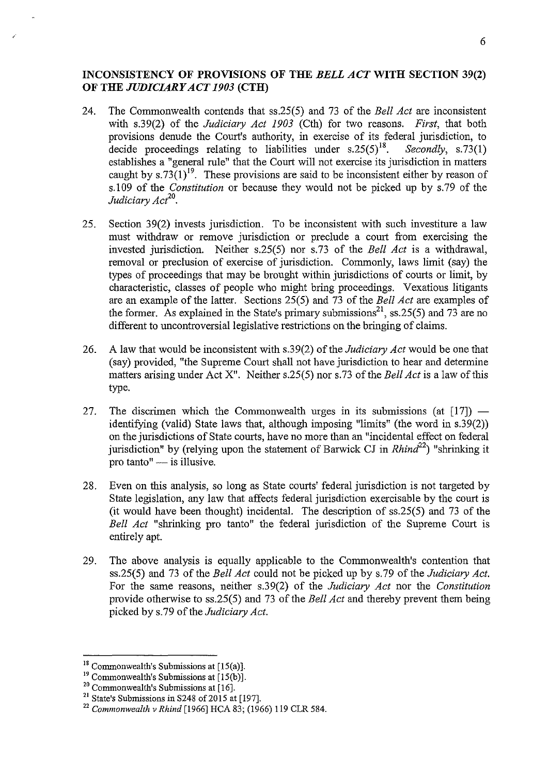# **INCONSISTENCY OF PROVISIONS OF THE** *BELL ACT* **WITH SECTION 39(2) OF THE** *JUDICIARY ACT 1903* **(CTH)**

- 24. The Commonwealth contends that ss.25(5) and 73 of the *Bell Act* are inconsistent with s.39(2) of the *Judiciary Act 1903* (Cth) for two reasons. *First,* that both provisions denude the Court's authority, in exercise of its federal jurisdiction, to decide proceedings relating to liabilities under  $s.25(5)^{18}$ . Secondly,  $s.73(1)$ decide proceedings relating to liabilities under  $s.25(5)^{18}$ . establishes a "general rule" that the Court will not exercise its jurisdiction in matters caught by  $s.73(1)^{19}$ . These provisions are said to be inconsistent either by reason of s.l 09 of the *Constitution* or because they would not be picked up by s. 79 of the *Judiciary Act20•*
- 25. Section 39(2) invests jurisdiction. To be inconsistent with such investiture a law must withdraw or remove jurisdiction or preclude a court from exercising the invested jurisdiction. Neither s.25(5) nor s.73 of the *Bell Act* is a withdrawal, removal or preclusion of exercise of jurisdiction. Commonly, laws limit (say) the types of proceedings that may be brought within jurisdictions of courts or limit, by characteristic, classes of people who might bring proceedings. Vexatious litigants are an example of the latter. Sections 25(5) and 73 of the *Bell Act* are examples of the former. As explained in the State's primary submissions<sup>21</sup>, ss.25(5) and 73 are no different to uncontroversial legislative restrictions on the bringing of claims.
- 26. A law that would be inconsistent with s.39(2) of the *Judiciary Act* would be one that (say) provided, "the Supreme Court shall not have jurisdiction to hear and determine matters arising under Act X". Neither s.25(5) nor s.73 of the *Bell Act* is a law of this type.
- 27. The discrimen which the Commonwealth urges in its submissions (at  $[17]$ ) identifying (valid) State laws that, although imposing "limits" (the word in s.39(2)) on the jurisdictions of State courts, have no more than an "incidental effect on federal jurisdiction" by (relying upon the statement of Barwick CJ in *Rhind*<sup>22</sup>) "shrinking it pro tanto" $-$  is illusive.
- 28. Even on this analysis, so long as State courts' federal jurisdiction is not targeted by State legislation, any law that affects federal jurisdiction exercisable by the court is (it would have been thought) incidental. The description of ss.25(5) and 73 of the *Bell Act* "shrinking pro tanto" the federal jurisdiction of the Supreme Court is entirely apt.
- 29. The above analysis is equally applicable to the Commonwealth's contention that ss.25(5) and 73 of the *Bell Act* could not be picked up by s.79 of the *Judiciary Act.*  For the same reasons, neither s.39(2) of the *Judiciary Act* nor the *Constitution*  provide otherwise to ss.25(5) and 73 of the *Bell Act* and thereby prevent them being picked by s. 79 of the *Judiciary Act.*

<sup>&</sup>lt;sup>18</sup> Commonwealth's Submissions at [15(a)].<br><sup>19</sup> Commonwealth's Submissions at [15(b)].<br><sup>20</sup> Commonwealth's Submissions at [16].

<sup>&</sup>lt;sup>21</sup> State's Submissions in S248 of 2015 at [197].

<sup>22</sup>*Commonwealth v Rhind* [1966] HCA 83; (1966) 119 CLR 584.